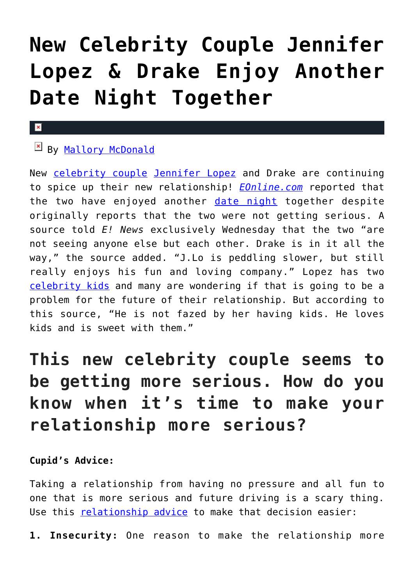# **[New Celebrity Couple Jennifer](https://cupidspulse.com/116365/new-celebrity-couple-jennifer-lopez-drake-date-night-together/) [Lopez & Drake Enjoy Another](https://cupidspulse.com/116365/new-celebrity-couple-jennifer-lopez-drake-date-night-together/) [Date Night Together](https://cupidspulse.com/116365/new-celebrity-couple-jennifer-lopez-drake-date-night-together/)**

#### $\mathbf{x}$

## By [Mallory McDonald](http://cupidspulse.com/114888/mallory-mcdonald/)

New [celebrity couple](http://cupidspulse.com/celebrity-relationships/long-term-relationships-flings/) [Jennifer Lopez](http://cupidspulse.com/86083/jennifer-lopez/) and Drake are continuing to spice up their new relationship! *[EOnline.com](http://www.eonline.com/news/822918/jennifer-lopez-drake-enjoy-another-date-night-and-are-they-getting-more-serious)* reported that the two have enjoyed another [date night](http://cupidspulse.com/dating/date-ideas/) together despite originally reports that the two were not getting serious. A source told *E! News* exclusively Wednesday that the two "are not seeing anyone else but each other. Drake is in it all the way," the source added. "J.Lo is peddling slower, but still really enjoys his fun and loving company." Lopez has two [celebrity kids](http://cupidspulse.com/celebrity-relationships/celebrity-babies/) and many are wondering if that is going to be a problem for the future of their relationship. But according to this source, "He is not fazed by her having kids. He loves kids and is sweet with them."

# **This new celebrity couple seems to be getting more serious. How do you know when it's time to make your relationship more serious?**

### **Cupid's Advice:**

Taking a relationship from having no pressure and all fun to one that is more serious and future driving is a scary thing. Use this [relationship advice](http://cupidspulse.com/relationship-experts/) to make that decision easier:

**1. Insecurity:** One reason to make the relationship more